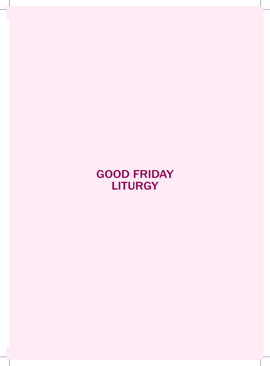GooD FRiDaY **LITURGY**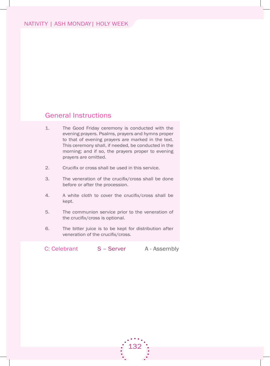### General Instructions

- 1. The Good Friday ceremony is conducted with the evening prayers. Psalms, prayers and hymns proper to that of evening prayers are marked in the text. This ceremony shall, if needed, be conducted in the morning; and if so, the prayers proper to evening prayers are omitted.
- 2. Crucifix or cross shall be used in this service.
- 3. The veneration of the crucifix/cross shall be done before or after the procession.
- 4. A white cloth to cover the crucifix/cross shall be kept.
- 5. The communion service prior to the veneration of the crucifix/cross is optional.
- 6. The bitter juice is to be kept for distribution after veneration of the crucifix/cross.

C: Celebrant S – Server A - Assembly

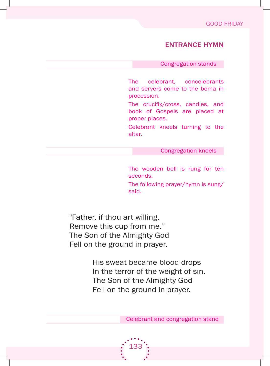### entRance hYMn

Congregation stands

The celebrant, concelebrants and servers come to the bema in procession.

The crucifix/cross, candles, and book of Gospels are placed at proper places.

Celebrant kneels turning to the altar.

Congregation kneels

The wooden bell is rung for ten seconds.

The following prayer/hymn is sung/ said.

"father, if thou art willing, Remove this cup from me." The Son of the Almighty God Fell on the ground in prayer.

> his sweat became blood drops In the terror of the weight of sin. The Son of the Almighty God Fell on the ground in prayer.

> > Celebrant and congregation stand

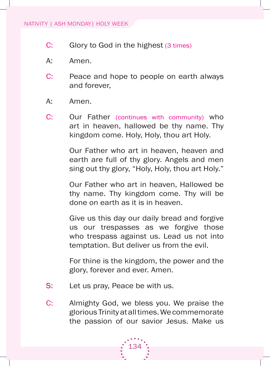- C: Glory to God in the highest (3 times)
- A: Amen.
- C: Peace and hope to people on earth always and forever,
- A: Amen.
- C: Our Father (continues with community) who art in heaven, hallowed be thy name. Thy kingdom come. Holy, Holy, thou art Holy.

Our Father who art in heaven, heaven and earth are full of thy glory. Angels and men sing out thy glory, "Holy, Holy, thou art Holy."

Our Father who art in heaven, Hallowed be thy name. Thy kingdom come. Thy will be done on earth as it is in heaven.

Give us this day our daily bread and forgive us our trespasses as we forgive those who trespass against us. lead us not into temptation. but deliver us from the evil.

 for thine is the kingdom, the power and the glory, forever and ever. Amen.

- S: Let us pray, Peace be with us.
- C: Almighty God, we bless you. We praise the glorious Trinity at all times. We commemorate the passion of our savior Jesus. make us

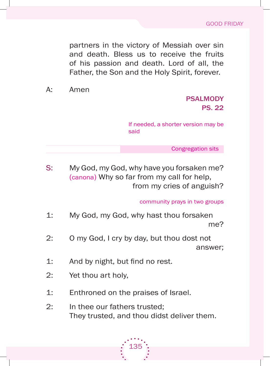partners in the victory of messiah over sin and death. bless us to receive the fruits of his passion and death. lord of all, the Father, the Son and the Holy Spirit, forever.

a: amen

# **PSALMODY** ps. 22

If needed, a shorter version may be said

Congregation sits

s: my god, my god, why have you forsaken me? (canona) Why so far from my call for help, from my cries of anguish?

community prays in two groups

- 1: My God, my God, why hast thou forsaken me?
- 2: O my God, I cry by day, but thou dost not answer;
- 1: And by night, but find no rest.
- 2: Yet thou art holy,
- 1: Enthroned on the praises of Israel.
- 2: In thee our fathers trusted: They trusted, and thou didst deliver them.

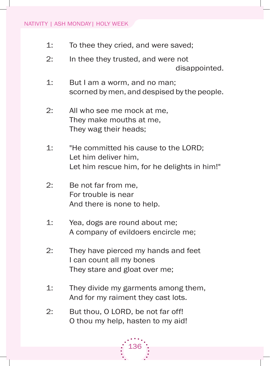- 1: To thee they cried, and were saved;
- 2: In thee they trusted, and were not disappointed.
- 1: But I am a worm, and no man; scorned by men, and despised by the people.
- 2: All who see me mock at me, They make mouths at me, They wag their heads;
- 1: "He committed his cause to the LORD; Let him deliver him. Let him rescue him, for he delights in him!"
- 2: be not far from me, for trouble is near And there is none to help.
- 1: Yea, dogs are round about me; a company of evildoers encircle me;
- 2: They have pierced my hands and feet I can count all my bones They stare and gloat over me;
- 1: They divide my garments among them, And for my raiment they cast lots.
- 2: But thou, O LORD, be not far off! o thou my help, hasten to my aid!

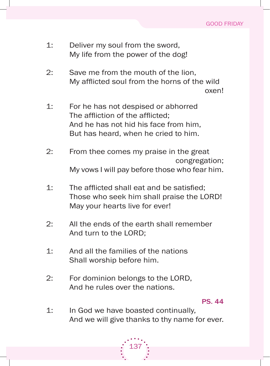- 1: Deliver my soul from the sword, My life from the power of the dog!
- 2: Save me from the mouth of the lion, My afflicted soul from the horns of the wild oxen!
- 1: for he has not despised or abhorred The affliction of the afflicted; And he has not hid his face from him, But has heard, when he cried to him.
- 2: from thee comes my praise in the great congregation; My vows I will pay before those who fear him.
- 1: The afflicted shall eat and be satisfied; Those who seek him shall praise the LORD! May your hearts live for ever!
- 2: All the ends of the earth shall remember And turn to the LORD;
- $1:$  And all the families of the nations shall worship before him.
- 2: For dominion belongs to the LORD, And he rules over the nations.

ps. 44

1: In God we have boasted continually, And we will give thanks to thy name for ever.

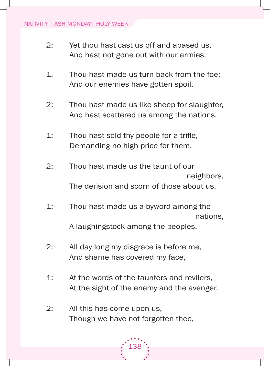- 2: Yet thou hast cast us off and abased us, And hast not gone out with our armies.
- 1. Thou hast made us turn back from the foe; And our enemies have gotten spoil.
- 2: Thou hast made us like sheep for slaughter, And hast scattered us among the nations.
- 1: Thou hast sold thy people for a trifle, Demanding no high price for them.
- 2: Thou hast made us the taunt of our neighbors, The derision and scorn of those about us.
- 1: Thou hast made us a byword among the nations,

a laughingstock among the peoples.

- 2: All day long my disgrace is before me, And shame has covered my face,
- 1: At the words of the taunters and revilers, At the sight of the enemy and the avenger.
- 2: All this has come upon us, Though we have not forgotten thee.

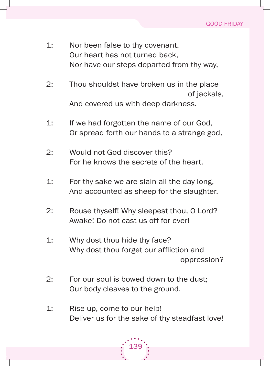- 1: Nor been false to thy covenant. Our heart has not turned back. Nor have our steps departed from thy way,
- 2: Thou shouldst have broken us in the place of jackals, And covered us with deep darkness.
- 1: If we had forgotten the name of our God, or spread forth our hands to a strange god,
- 2: Would not God discover this? for he knows the secrets of the heart.
- 1: for thy sake we are slain all the day long, And accounted as sheep for the slaughter.
- 2: Rouse thyself! Why sleepest thou, O Lord? Awake! Do not cast us off for ever!
- 1: Why dost thou hide thy face? Why dost thou forget our affliction and oppression?
- 2: for our soul is bowed down to the dust; Our body cleaves to the ground.
- 1: Rise up, come to our help! Deliver us for the sake of thy steadfast love!

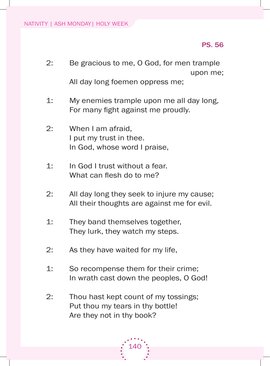## ps. 56

- 2: Be gracious to me, O God, for men trample upon me; all day long foemen oppress me;
- 1: My enemies trample upon me all day long, For many fight against me proudly.
- 2: When I am afraid, I put my trust in thee. In God, whose word I praise,
- 1: In God I trust without a fear. What can flesh do to me?
- 2: All day long they seek to injure my cause; All their thoughts are against me for evil.
- 1: They band themselves together, They lurk, they watch my steps.
- 2: As they have waited for my life,
- 1: So recompense them for their crime; In wrath cast down the peoples, O God!
- 2: Thou hast kept count of my tossings; Put thou my tears in thy bottle! Are they not in thy book?

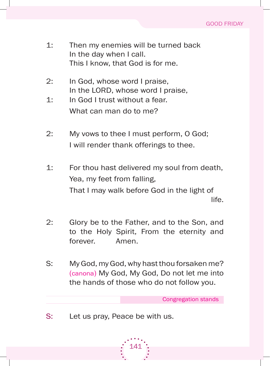- 1: Then my enemies will be turned back In the day when I call. This I know, that God is for me.
- 2: In God, whose word I praise, In the LORD, whose word I praise,
- 1: In God I trust without a fear. What can man do to me?
- 2: My vows to thee I must perform, O God; I will render thank offerings to thee.
- 1: for thou hast delivered my soul from death, Yea, my feet from falling, That I may walk before God in the light of life.
- 2: Glory be to the Father, and to the Son, and to the holy spirit, from the eternity and forever. Amen.
- s: my god, my god, why hast thou forsaken me? (canona) My God, My God, Do not let me into the hands of those who do not follow you.

Congregation stands

S: Let us pray, Peace be with us.

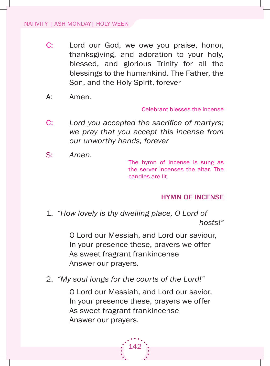- C: Lord our God, we owe you praise, honor, thanksgiving, and adoration to your holy, blessed, and glorious Trinity for all the blessings to the humankind. The Father, the son, and the holy spirit, forever
- a: amen.

Celebrant blesses the incense

- C: Lord you accepted the sacrifice of martyrs; *we pray that you accept this incense from our unworthy hands, forever*
- s: *Amen.*

The hymn of incense is sung as the server incenses the altar. The candles are lit.

### hYMn oF incense

1. *"How lovely is thy dwelling place, O Lord of hosts!"*

> o lord our messiah, and lord our saviour, In your presence these, prayers we offer As sweet fragrant frankincense Answer our prayers.

2. *"My soul longs for the courts of the Lord!"*

o lord our messiah, and lord our savior, In your presence these, prayers we offer As sweet fragrant frankincense Answer our prayers.

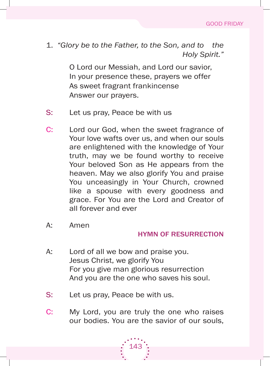1. *"Glory be to the Father, to the Son, and to the Holy Spirit."*

> o lord our messiah, and lord our savior, In your presence these, prayers we offer As sweet fragrant frankincense Answer our prayers.

- S: Let us pray, Peace be with us
- C: Lord our God, when the sweet fragrance of Your love wafts over us, and when our souls are enlightened with the knowledge of your truth, may we be found worthy to receive Your beloved Son as He appears from the heaven. May we also glorify You and praise You unceasingly in Your Church, crowned like a spouse with every goodness and grace. for you are the lord and Creator of all forever and ever
- a: amen

## hYMn oF ResuRRection

- A: Lord of all we bow and praise you. Jesus Christ, we glorify you for you give man glorious resurrection And you are the one who saves his soul.
- S: Let us pray, Peace be with us.
- C: My Lord, you are truly the one who raises our bodies. you are the savior of our souls,

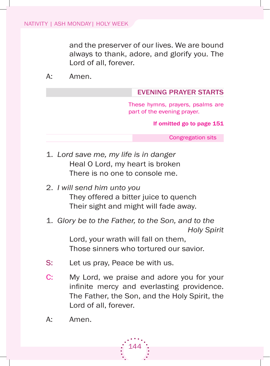and the preserver of our lives. We are bound always to thank, adore, and glorify you. The Lord of all, forever.

a: amen.

#### eVeninG pRaYeR staRts

These hymns, prayers, psalms are part of the evening prayer.

#### if omitted go to page 151

Congregation sits

- 1. *Lord save me, my life is in danger* Heal O Lord, my heart is broken There is no one to console me.
- 2. *I will send him unto you* They offered a bitter juice to quench Their sight and might will fade away.
- 1. *Glory be to the Father, to the Son, and to the Holy Spirit*

Lord, your wrath will fall on them, Those sinners who tortured our savior.

- S: Let us pray, Peace be with us.
- C: My Lord, we praise and adore you for your infinite mercy and everlasting providence. The Father, the Son, and the Holy Spirit, the Lord of all, forever.

144

A: Amen.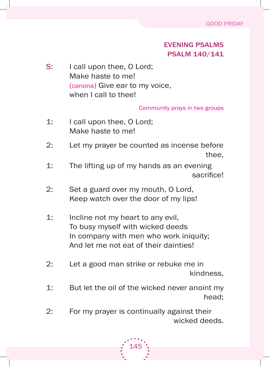# eVeninG psalMs psalM 140/141

S: I call upon thee, O Lord; Make haste to me! (canona) Give ear to my voice, when I call to thee!

Community prays in two groups

- 1: I call upon thee, O Lord: Make haste to me!
- 2: Let my prayer be counted as incense before thee,
- 1: The lifting up of my hands as an evening sacrifice!
- 2: Set a guard over my mouth, O Lord, Keep watch over the door of my lips!
- 1: Incline not my heart to any evil, To busy myself with wicked deeds In company with men who work iniquity; and let me not eat of their dainties!
- 2: let a good man strike or rebuke me in kindness,
- 1: But let the oil of the wicked never anoint my head;
- 2: for my prayer is continually against their wicked deeds.

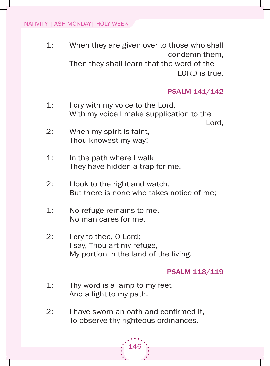1: When they are given over to those who shall condemn them,

Then they shall learn that the word of the LORD is true.

### psalM 141/142

1: I cry with my voice to the Lord, With my voice I make supplication to the

Lord,

- 2: When my spirit is faint, Thou knowest my way!
- 1: **In the path where I walk** They have hidden a trap for me.
- 2: I look to the right and watch, But there is none who takes notice of me;
- 1: No refuge remains to me, No man cares for me.
- 2: I cry to thee, O Lord; I say, Thou art my refuge, My portion in the land of the living.

### psalM 118/119

- 1: Thy word is a lamp to my feet And a light to my path.
- 2: I have sworn an oath and confirmed it, To observe thy righteous ordinances.

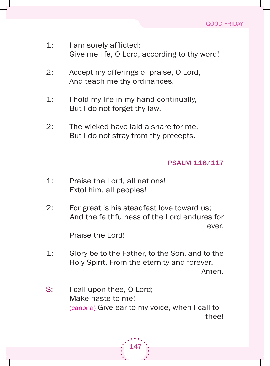- 1: I am sorely afflicted; Give me life, O Lord, according to thy word!
- 2: Accept my offerings of praise, O Lord, And teach me thy ordinances.
- 1: I hold my life in my hand continually, But I do not forget thy law.
- 2: The wicked have laid a snare for me, But I do not stray from thy precepts.

# psalM 116/117

- 1: Praise the lord, all nations! Extol him, all peoples!
- 2: for great is his steadfast love toward us; and the faithfulness of the lord endures for ever.

Praise the lord!

- 1: Glory be to the Father, to the Son, and to the holy spirit, from the eternity and forever. amen.
- S: I call upon thee, O Lord; Make haste to me! (canona) Give ear to my voice, when I call to thee!

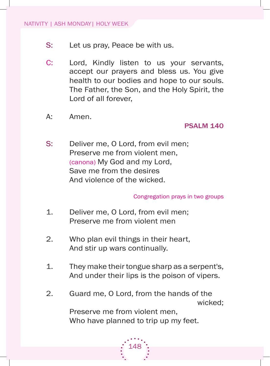- S: Let us pray, Peace be with us.
- C: Lord, Kindly listen to us your servants, accept our prayers and bless us. You give health to our bodies and hope to our souls. The Father, the Son, and the Holy Spirit, the Lord of all forever,
- A: Amen.

### psalM 140

S: Deliver me, O Lord, from evil men; Preserve me from violent men, (canona) My God and my Lord, save me from the desires And violence of the wicked.

### Congregation prays in two groups

- 1. Deliver me, O Lord, from evil men; Preserve me from violent men
- 2. Who plan evil things in their heart, And stir up wars continually.
- 1. They make their tongue sharp as a serpent's, And under their lips is the poison of vipers.
- 2. Guard me, O Lord, from the hands of the wicked;

Preserve me from violent men, Who have planned to trip up my feet.

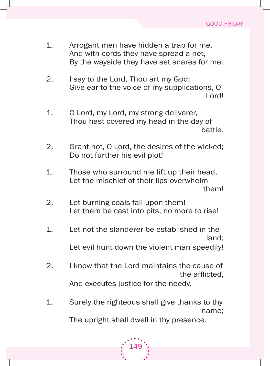- 1. Arrogant men have hidden a trap for me, And with cords they have spread a net. by the wayside they have set snares for me.
- 2. I say to the Lord, Thou art my God; Give ear to the voice of my supplications, O lord!
- 1. O Lord, my Lord, my strong deliverer, Thou hast covered my head in the day of battle.
- 2. Grant not, O Lord, the desires of the wicked; Do not further his evil plot!
- 1. Those who surround me lift up their head, Let the mischief of their lips overwhelm them!
- 2. Let burning coals fall upon them! Let them be cast into pits, no more to rise!
- 1. let not the slanderer be established in the land; Let evil hunt down the violent man speedily!
- 2. I know that the Lord maintains the cause of the afflicted, And executes justice for the needy.
- 1. Surely the righteous shall give thanks to thy name;

The upright shall dwell in thy presence.

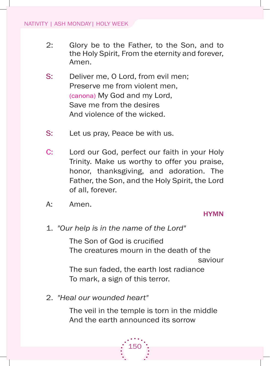- 2: Glory be to the Father, to the Son, and to the Holy Spirit, From the eternity and forever, amen.
- S: Deliver me, O Lord, from evil men; Preserve me from violent men, (canona) My God and my Lord, save me from the desires And violence of the wicked.
- s: let us pray, Peace be with us.
- C: Lord our God, perfect our faith in your Holy Trinity. Make us worthy to offer you praise, honor, thanksgiving, and adoration. The Father, the Son, and the Holy Spirit, the Lord of all, forever.
- A: Amen.

### **HYMN**

1. *"Our help is in the name of the Lord"*

The Son of God is crucified The creatures mourn in the death of the saviour The sun faded, the earth lost radiance To mark, a sign of this terror.

2. *"Heal our wounded heart"*

The veil in the temple is torn in the middle and the earth announced its sorrow

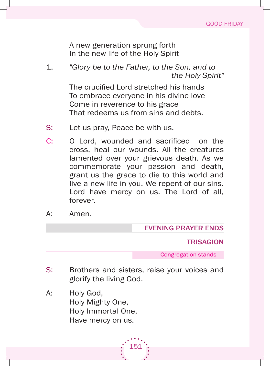a new generation sprung forth In the new life of the Holy Spirit

1. *"Glory be to the Father, to the Son, and to the Holy Spirit"*

> The crucified Lord stretched his hands To embrace everyone in his divine love Come in reverence to his grace That redeems us from sins and debts.

- S: Let us pray, Peace be with us.
- C: O Lord, wounded and sacrificed on the cross, heal our wounds. all the creatures lamented over your grievous death. As we commemorate your passion and death, grant us the grace to die to this world and live a new life in you. We repent of our sins. Lord have mercy on us. The Lord of all, forever.
- A: Amen.

eVeninG pRaYeR enDs

### **TRISAGION**

Congregation stands

S: Brothers and sisters, raise your voices and glorify the living god.

151

A: Holy God, Holy Mighty One, holy immortal one, Have mercy on us.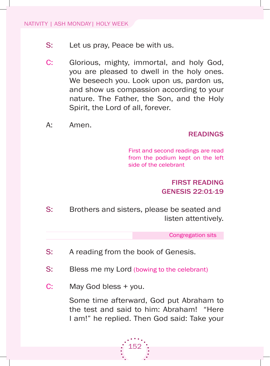- S: Let us pray, Peace be with us.
- C: Glorious, mighty, immortal, and holy God, you are pleased to dwell in the holy ones. We beseech you. Look upon us, pardon us, and show us compassion according to your nature. The Father, the Son, and the Holy spirit, the lord of all, forever.
- A: Amen.

### **READINGS**

first and second readings are read from the podium kept on the left side of the celebrant

# FiRst ReaDinG Genesis 22:01-19

S: Brothers and sisters, please be seated and listen attentively.

Congregation sits

- S: A reading from the book of Genesis.
- S: Bless me my Lord (bowing to the celebrant)
- C: May God bless + you.

Some time afterward, God put Abraham to the test and said to him: abraham! "here I am!" he replied. Then God said: Take your

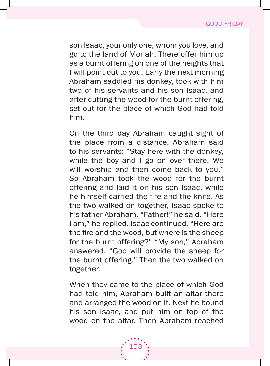son Isaac, your only one, whom you love, and go to the land of Moriah. There offer him up as a burnt offering on one of the heights that I will point out to you. Early the next morning abraham saddled his donkey, took with him two of his servants and his son isaac, and after cutting the wood for the burnt offering, set out for the place of which God had told him.

on the third day abraham caught sight of the place from a distance. abraham said to his servants: "Stay here with the donkey, while the boy and I go on over there. We will worship and then come back to you." so abraham took the wood for the burnt offering and laid it on his son isaac, while he himself carried the fire and the knife. As the two walked on together, isaac spoke to his father abraham. "father!" he said. "here I am," he replied. Isaac continued, "Here are the fire and the wood, but where is the sheep for the burnt offering?" "My son," Abraham answered, "god will provide the sheep for the burnt offering." Then the two walked on together.

When they came to the place of which God had told him, abraham built an altar there and arranged the wood on it. Next he bound his son isaac, and put him on top of the wood on the altar. Then Abraham reached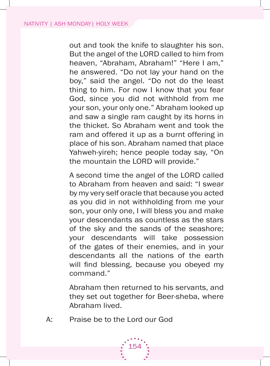out and took the knife to slaughter his son. But the angel of the LORD called to him from heaven, "Abraham, Abraham!" "Here I am," he answered. "Do not lay your hand on the boy," said the angel. "Do not do the least thing to him. for now i know that you fear God, since you did not withhold from me your son, your only one." Abraham looked up and saw a single ram caught by its horns in the thicket. so abraham went and took the ram and offered it up as a burnt offering in place of his son. abraham named that place Yahweh-yireh; hence people today say, "On the mountain the LORD will provide."

A second time the angel of the LORD called to Abraham from heaven and said: "I swear by my very self oracle that because you acted as you did in not withholding from me your son, your only one, I will bless you and make your descendants as countless as the stars of the sky and the sands of the seashore; your descendants will take possession of the gates of their enemies, and in your descendants all the nations of the earth will find blessing, because you obeyed my command."

abraham then returned to his servants, and they set out together for Beer-sheba, where abraham lived.

A: Praise be to the Lord our God

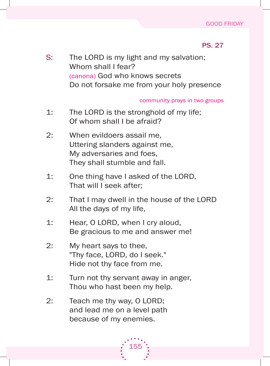#### GOOD FRIDAY

### ps. 27

S: The LORD is my light and my salvation; Whom shall I fear? (canona) God who knows secrets Do not forsake me from your holy presence

#### community prays in two groups

- 1: The LORD is the stronghold of my life; Of whom shall I be afraid?
- 2: When evildoers assail me, Uttering slanders against me, My adversaries and foes, They shall stumble and fall.
- 1: One thing have I asked of the LORD, That will I seek after;
- 2: That I may dwell in the house of the LORD all the days of my life,
- 1: Hear, O LORD, when I cry aloud, be gracious to me and answer me!
- 2: My heart says to thee, "Thy face, LORD, do I seek." Hide not thy face from me.
- 1: Turn not thy servant away in anger, Thou who hast been my help.
- 2: Teach me thy way,  $O$  LORD; and lead me on a level path because of my enemies.

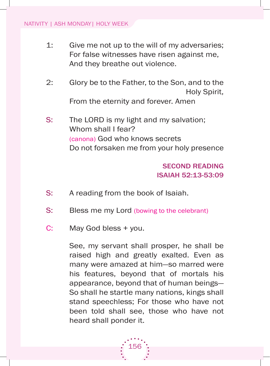- 1: Give me not up to the will of my adversaries; for false witnesses have risen against me, And they breathe out violence.
- 2: Glory be to the Father, to the Son, and to the holy spirit, From the eternity and forever. Amen
- S: The LORD is my light and my salvation; Whom shall I fear? (canona) God who knows secrets Do not forsaken me from your holy presence

# seconD ReaDinG isaiah 52:13-53:09

- S: A reading from the book of Isaiah.
- S: Bless me my Lord (bowing to the celebrant)
- C: May God bless + you.

see, my servant shall prosper, he shall be raised high and greatly exalted. Even as many were amazed at him—so marred were his features, beyond that of mortals his appearance, beyond that of human beings so shall he startle many nations, kings shall stand speechless; for those who have not been told shall see, those who have not heard shall ponder it.

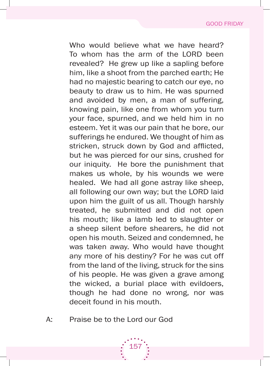Who would believe what we have heard? To whom has the arm of the LORD been revealed? he grew up like a sapling before him, like a shoot from the parched earth; he had no majestic bearing to catch our eye, no beauty to draw us to him. he was spurned and avoided by men, a man of suffering, knowing pain, like one from whom you turn your face, spurned, and we held him in no esteem. Yet it was our pain that he bore, our sufferings he endured. We thought of him as stricken, struck down by God and afflicted, but he was pierced for our sins, crushed for our iniquity. he bore the punishment that makes us whole, by his wounds we were healed. We had all gone astray like sheep, all following our own way; but the LORD laid upon him the guilt of us all. Though harshly treated, he submitted and did not open his mouth; like a lamb led to slaughter or a sheep silent before shearers, he did not open his mouth. seized and condemned, he was taken away. Who would have thought any more of his destiny? for he was cut off from the land of the living, struck for the sins of his people. he was given a grave among the wicked, a burial place with evildoers, though he had done no wrong, nor was deceit found in his mouth.

A: Praise be to the Lord our God

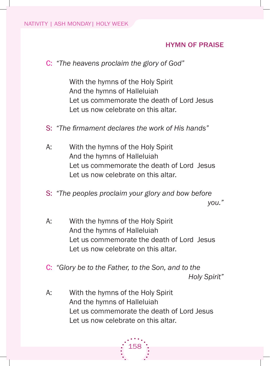## hYMn oF pRaise

C: *"The heavens proclaim the glory of God"*

With the hymns of the Holy Spirit and the hymns of halleluiah let us commemorate the death of lord Jesus Let us now celebrate on this altar.

- S: "The firmament declares the work of His hands"
- A: With the hymns of the Holy Spirit and the hymns of halleluiah let us commemorate the death of lord Jesus Let us now celebrate on this altar.
- s: *"The peoples proclaim your glory and bow before you."*
- A: With the hymns of the Holy Spirit and the hymns of halleluiah let us commemorate the death of lord Jesus let us now celebrate on this altar.
- C: *"Glory be to the Father, to the Son, and to the Holy Spirit"*
- A: With the hymns of the Holy Spirit and the hymns of halleluiah Let us commemorate the death of Lord Jesus Let us now celebrate on this altar.

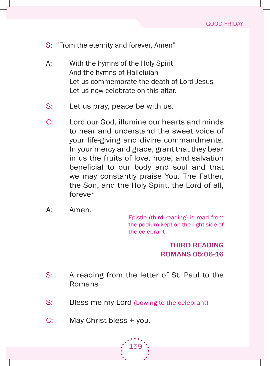- S: "From the eternity and forever, Amen"
- A: With the hymns of the Holy Spirit and the hymns of halleluiah let us commemorate the death of lord Jesus Let us now celebrate on this altar.
- S: Let us pray, peace be with us.
- C: Lord our God, illumine our hearts and minds to hear and understand the sweet voice of your life-giving and divine commandments. in your mercy and grace, grant that they bear in us the fruits of love, hope, and salvation beneficial to our body and soul and that we may constantly praise You. The Father, the son, and the holy spirit, the lord of all, forever
- A: Amen.

Epistle (third reading) is read from the podium kept on the right side of the celebrant

> thiRD ReaDinG RoMans 05:06-16

- S: A reading from the letter of St. Paul to the **Romans**
- S: Bless me my Lord (bowing to the celebrant)
- C: May Christ bless + you.

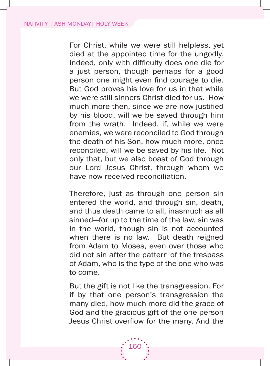for Christ, while we were still helpless, yet died at the appointed time for the ungodly. Indeed, only with difficulty does one die for a just person, though perhaps for a good person one might even find courage to die. But God proves his love for us in that while we were still sinners Christ died for us. How much more then, since we are now justified by his blood, will we be saved through him from the wrath. Indeed, if, while we were enemies, we were reconciled to god through the death of his Son, how much more, once reconciled, will we be saved by his life. Not only that, but we also boast of god through our lord Jesus Christ, through whom we have now received reconciliation.

Therefore, just as through one person sin entered the world, and through sin, death, and thus death came to all, inasmuch as all sinned—for up to the time of the law, sin was in the world, though sin is not accounted when there is no law. But death reigned from Adam to Moses, even over those who did not sin after the pattern of the trespass of Adam, who is the type of the one who was to come.

 but the gift is not like the transgression. for if by that one person's transgression the many died, how much more did the grace of God and the gracious gift of the one person Jesus Christ overflow for the many. And the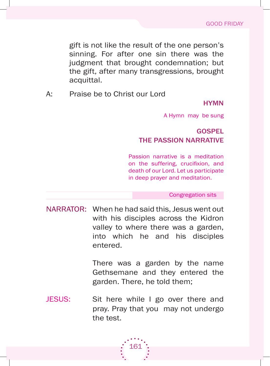gift is not like the result of the one person's sinning. for after one sin there was the judgment that brought condemnation; but the gift, after many transgressions, brought acquittal.

a: Praise be to Christ our lord

#### **HYMN**

a hymn may be sung

# **GOSPEL** the passion naRRatiVe

Passion narrative is a meditation on the suffering, crucifixion, and death of our Lord. Let us participate in deep prayer and meditation.

Congregation sits

NARRATOR: When he had said this, Jesus went out with his disciples across the Kidron valley to where there was a garden, into which he and his disciples entered.

> There was a garden by the name Gethsemane and they entered the garden. There, he told them;

JESUS: Sit here while I go over there and pray. Pray that you may not undergo the test.

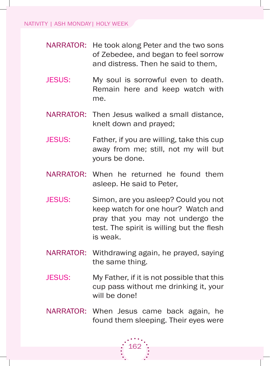- NARRATOR: He took along Peter and the two sons of Zebedee, and began to feel sorrow and distress. Then he said to them,
- JESUS: My soul is sorrowful even to death. Remain here and keep watch with me.
- NARRATOR: Then Jesus walked a small distance, knelt down and prayed;
- JESUS: Father, if you are willing, take this cup away from me; still, not my will but yours be done.
- NARRATOR: When he returned he found them asleep. he said to Peter,
- JESUS: Simon, are you asleep? Could you not keep watch for one hour? Watch and pray that you may not undergo the test. The spirit is willing but the flesh is weak.
- NARRATOR: Withdrawing again, he prayed, saying the same thing.
- JESUS: My Father, if it is not possible that this cup pass without me drinking it, your will be done!
- NARRATOR: When Jesus came back again, he found them sleeping. Their eyes were

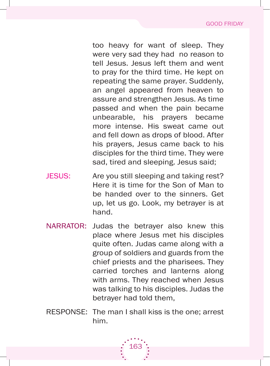too heavy for want of sleep. They were very sad they had no reason to tell Jesus. Jesus left them and went to pray for the third time. He kept on repeating the same prayer. Suddenly, an angel appeared from heaven to assure and strengthen Jesus. As time passed and when the pain became unbearable, his prayers became more intense. His sweat came out and fell down as drops of blood. after his prayers, Jesus came back to his disciples for the third time. They were sad, tired and sleeping. Jesus said;

- JESUS: Are you still sleeping and taking rest? Here it is time for the Son of Man to be handed over to the sinners. Get up, let us go. look, my betrayer is at hand.
- NARRATOR: Judas the betrayer also knew this place where Jesus met his disciples quite often. Judas came along with a group of soldiers and guards from the chief priests and the pharisees. They carried torches and lanterns along with arms. They reached when Jesus was talking to his disciples. Judas the betrayer had told them,
- RESPONSE: The man I shall kiss is the one; arrest him.

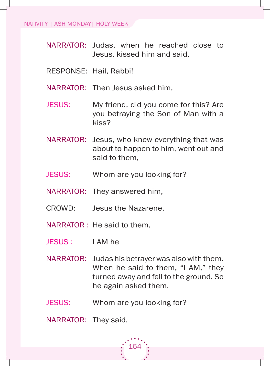- NARRATOR: Judas, when he reached close to Jesus, kissed him and said,
- RESPONSE: Hail, Rabbi!
- NARRATOR: Then Jesus asked him,
- JESUS: My friend, did you come for this? Are you betraying the Son of Man with a kiss?
- NARRATOR: Jesus, who knew everything that was about to happen to him, went out and said to them,
- JESUS: Whom are you looking for?
- NARRATOR: They answered him,
- CROWD: Jesus the Nazarene.
- NARRATOR : He said to them,
- JESUS: I AM he
- NARRATOR: Judas his betrayer was also with them. When he said to them, "I AM," they turned away and fell to the ground. So he again asked them,
- JESUS: Whom are you looking for?

NARRATOR: They said,

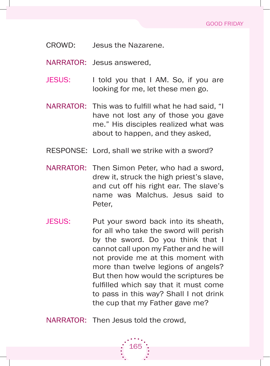- CROWD: Jesus the Nazarene.
- NARRATOR: Jesus answered,
- JESUS: I told you that I AM. So, if you are looking for me, let these men go.
- NARRATOR: This was to fulfill what he had said, "I have not lost any of those you gave me." His disciples realized what was about to happen, and they asked,
- RESPONSE: Lord, shall we strike with a sword?
- NARRATOR: Then Simon Peter, who had a sword, drew it, struck the high priest's slave, and cut off his right ear. The slave's name was malchus. Jesus said to Peter,
- JESUS: Put your sword back into its sheath, for all who take the sword will perish by the sword. Do you think that I cannot call upon my father and he will not provide me at this moment with more than twelve legions of angels? But then how would the scriptures be fulfilled which say that it must come to pass in this way? Shall I not drink the cup that my father gave me?

165

NARRATOR: Then Jesus told the crowd,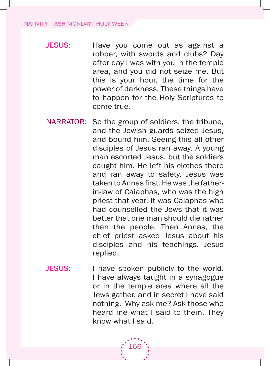- JESUS: Have you come out as against a robber, with swords and clubs? Day after day I was with you in the temple area, and you did not seize me. But this is your hour, the time for the power of darkness. These things have to happen for the Holy Scriptures to come true.
- NARRATOR: So the group of soldiers, the tribune, and the Jewish guards seized Jesus, and bound him. Seeing this all other disciples of Jesus ran away. A young man escorted Jesus, but the soldiers caught him. He left his clothes there and ran away to safety. Jesus was taken to Annas first. He was the fatherin-law of Caiaphas, who was the high priest that year. it was Caiaphas who had counselled the Jews that it was better that one man should die rather than the people. Then Annas, the chief priest asked Jesus about his disciples and his teachings. Jesus replied,
- JESUS: I have spoken publicly to the world. I have always taught in a synagogue or in the temple area where all the Jews gather, and in secret I have said nothing. Why ask me? Ask those who heard me what I said to them. They know what I said.

166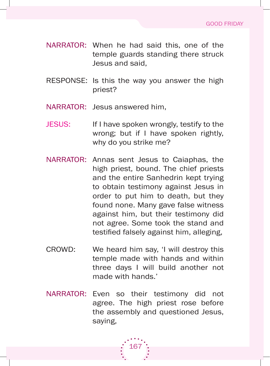- NARRATOR: When he had said this, one of the temple guards standing there struck Jesus and said,
- RESPONSE: Is this the way you answer the high priest?
- NARRATOR: Jesus answered him,
- JESUS: If I have spoken wrongly, testify to the wrong; but if I have spoken rightly. why do you strike me?
- NARRATOR: Annas sent Jesus to Caiaphas, the high priest, bound. The chief priests and the entire Sanhedrin kept trying to obtain testimony against Jesus in order to put him to death, but they found none. Many gave false witness against him, but their testimony did not agree. some took the stand and testified falsely against him, alleging,
- CROWD: We heard him say, 'I will destroy this temple made with hands and within three days I will build another not made with hands.'
- NARRATOR: Even so their testimony did not agree. The high priest rose before the assembly and questioned Jesus, saying,

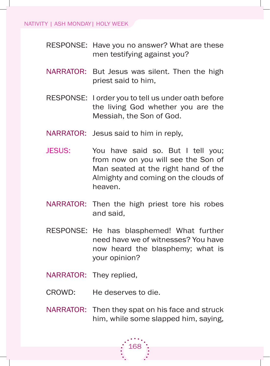- RESPONSE: Have you no answer? What are these men testifying against you?
- NARRATOR: But Jesus was silent. Then the high priest said to him,
- RESPONSE: I order you to tell us under oath before the living god whether you are the Messiah, the Son of God.
- NARRATOR: Jesus said to him in reply,
- JESUS: You have said so. But I tell you; from now on you will see the Son of Man seated at the right hand of the almighty and coming on the clouds of heaven.
- NARRATOR: Then the high priest tore his robes and said,
- RESPONSE: He has blasphemed! What further need have we of witnesses? you have now heard the blasphemy; what is your opinion?
- NARRATOR: They replied,
- CROWD: He deserves to die.
- NARRATOR: Then they spat on his face and struck him, while some slapped him, saying,

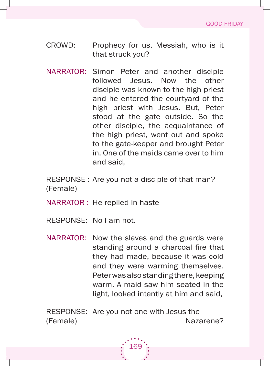- CROWD: Prophecy for us, Messiah, who is it that struck you?
- NARRATOR: Simon Peter and another disciple followed Jesus. Now the other disciple was known to the high priest and he entered the courtyard of the high priest with Jesus. But, Peter stood at the gate outside. So the other disciple, the acquaintance of the high priest, went out and spoke to the gate-keeper and brought Peter in. One of the maids came over to him and said,

RESPONSE : Are you not a disciple of that man? (female)

NARRATOR : He replied in haste

- RESPONSE: No I am not.
- NARRATOR: Now the slaves and the guards were standing around a charcoal fire that they had made, because it was cold and they were warming themselves. Peter was also standing there, keeping warm. A maid saw him seated in the light, looked intently at him and said,

RESPONSE: Are you not one with Jesus the (female) Nazarene?

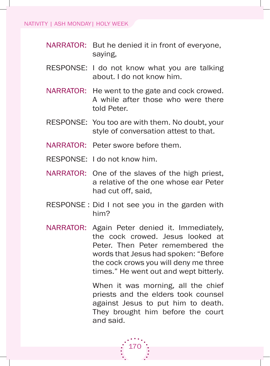- NARRATOR: But he denied it in front of everyone, saying,
- RESPONSE: I do not know what you are talking about. I do not know him.
- NARRATOR: He went to the gate and cock crowed. a while after those who were there told Peter.
- RESPONSE: You too are with them. No doubt, your style of conversation attest to that.
- NARRATOR: Peter swore before them.
- RESPONSE: I do not know him.
- NARRATOR: One of the slaves of the high priest, a relative of the one whose ear Peter had cut off, said,
- RESPONSE : Did I not see you in the garden with him?
- NARRATOR: Again Peter denied it. Immediately, the cock crowed. Jesus looked at Peter. Then Peter remembered the words that Jesus had spoken: "Before" the cock crows you will deny me three times." He went out and wept bitterly.

When it was morning, all the chief priests and the elders took counsel against Jesus to put him to death. They brought him before the court and said.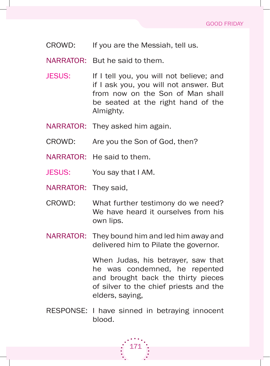CROWD: If you are the Messiah, tell us.

NARRATOR: But he said to them.

- JESUS: If I tell you, you will not believe; and if I ask you, you will not answer. But from now on the Son of Man shall be seated at the right hand of the almighty.
- NARRATOR: They asked him again.
- CROWD: Are you the Son of God, then?
- NARRATOR: He said to them.
- JESUS: You say that I AM.
- NARRATOR: They said,
- CROWD: What further testimony do we need? We have heard it ourselves from his own lips.
- NARRATOR: They bound him and led him away and delivered him to Pilate the governor.

 When Judas, his betrayer, saw that he was condemned, he repented and brought back the thirty pieces of silver to the chief priests and the elders, saying,

RESPONSE: I have sinned in betraying innocent blood.

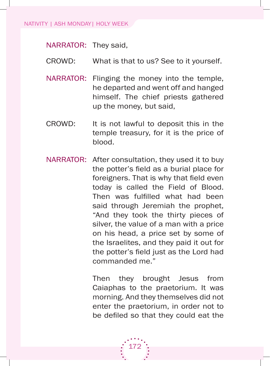#### NATIVITY | ASH MONDAY| HOLY WEEK

NARRATOR: They said,

- CROWD: What is that to us? See to it yourself.
- NARRATOR: Flinging the money into the temple, he departed and went off and hanged himself. The chief priests gathered up the money, but said,
- CROWD: It is not lawful to deposit this in the temple treasury, for it is the price of blood.
- NARRATOR: After consultation, they used it to buy the potter's field as a burial place for foreigners. That is why that field even today is called the Field of Blood. Then was fulfilled what had been said through Jeremiah the prophet, "And they took the thirty pieces of silver, the value of a man with a price on his head, a price set by some of the israelites, and they paid it out for the potter's field just as the Lord had commanded me."

172

Then they brought Jesus from Caiaphas to the praetorium. It was morning. And they themselves did not enter the praetorium, in order not to be defiled so that they could eat the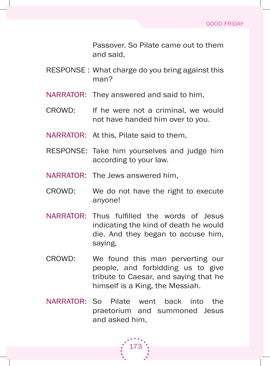Passover. so Pilate came out to them and said,

- RESPONSE : What charge do you bring against this man?
- NARRATOR: They answered and said to him,
- CROWD: If he were not a criminal, we would not have handed him over to you.
- NARRATOR: At this, Pilate said to them,
- RESPONSE: Take him yourselves and judge him according to your law.
- NARRATOR: The Jews answered him,
- CROWD: We do not have the right to execute anyone!
- NARRATOR: Thus fulfilled the words of Jesus indicating the kind of death he would die. and they began to accuse him, saying,
- CROWD: We found this man perverting our people, and forbidding us to give tribute to Caesar, and saying that he himself is a King, the Messiah.
- NARRATOR: So Pilate went back into the praetorium and summoned Jesus and asked him,

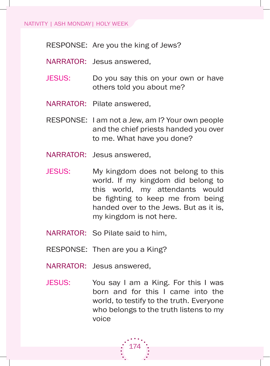RESPONSE: Are you the king of Jews?

- NARRATOR: Jesus answered,
- JESUS: Do you say this on your own or have others told you about me?
- NARRATOR: Pilate answered,
- RESPONSE: I am not a Jew, am I? Your own people and the chief priests handed you over to me. What have you done?
- NARRATOR: Jesus answered,
- JESUS: My kingdom does not belong to this world. if my kingdom did belong to this world, my attendants would be fighting to keep me from being handed over to the Jews. But as it is, my kingdom is not here.
- NARRATOR: So Pilate said to him.
- RESPONSE: Then are you a King?
- NARRATOR: Jesus answered,
- JESUS: You say I am a King. For this I was born and for this i came into the world, to testify to the truth. Everyone who belongs to the truth listens to my voice

174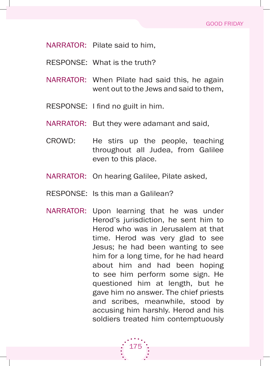NARRATOR: Pilate said to him,

- RESPONSE: What is the truth?
- NARRATOR: When Pilate had said this, he again went out to the Jews and said to them,
- RESPONSE: I find no guilt in him.
- NARRATOR: But they were adamant and said,
- CROWD: He stirs up the people, teaching throughout all Judea, from galilee even to this place.
- NARRATOR: On hearing Galilee, Pilate asked,
- RESPONSE: Is this man a Galilean?
- NARRATOR: Upon learning that he was under Herod's jurisdiction, he sent him to herod who was in Jerusalem at that time. Herod was very glad to see Jesus; he had been wanting to see him for a long time, for he had heard about him and had been hoping to see him perform some sign. he questioned him at length, but he gave him no answer. The chief priests and scribes, meanwhile, stood by accusing him harshly. Herod and his soldiers treated him contemptuously

175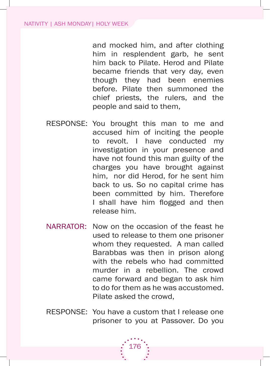and mocked him, and after clothing him in resplendent garb, he sent him back to Pilate. Herod and Pilate became friends that very day, even though they had been enemies before. Pilate then summoned the chief priests, the rulers, and the people and said to them,

- RESPONSE: You brought this man to me and accused him of inciting the people to revolt. i have conducted my investigation in your presence and have not found this man guilty of the charges you have brought against him, nor did Herod, for he sent him back to us. So no capital crime has been committed by him. Therefore I shall have him flogged and then release him.
- NARRATOR: Now on the occasion of the feast he used to release to them one prisoner whom they requested. A man called barabbas was then in prison along with the rebels who had committed murder in a rebellion. The crowd came forward and began to ask him to do for them as he was accustomed. Pilate asked the crowd,
- RESPONSE: You have a custom that I release one prisoner to you at Passover. Do you

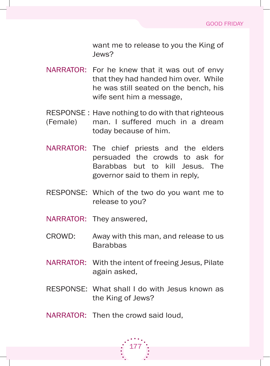want me to release to you the King of Jews?

- NARRATOR: For he knew that it was out of envy that they had handed him over. While he was still seated on the bench, his wife sent him a message,
- RESPONSE : Have nothing to do with that righteous (female) man. i suffered much in a dream today because of him.
- NARRATOR: The chief priests and the elders persuaded the crowds to ask for Barabbas but to kill Jesus. The governor said to them in reply,
- RESPONSE: Which of the two do you want me to release to you?
- NARRATOR: They answered,
- CROWD: Away with this man, and release to us **Barabbas**
- NARRATOR: With the intent of freeing Jesus, Pilate again asked,
- RESPONSE: What shall I do with Jesus known as the King of Jews?
- NARRATOR: Then the crowd said loud.

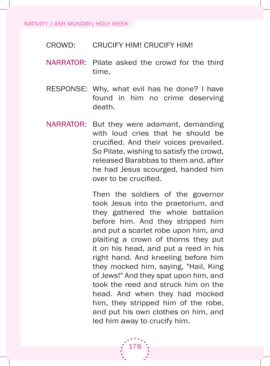#### NATIVITY | ASH MONDAY| HOLY WEEK

- CroWd: CruCify him! CruCify him!
- NARRATOR: Pilate asked the crowd for the third time,
- RESPONSE: Why, what evil has he done? I have found in him no crime deserving death.
- NARRATOR: But they were adamant, demanding with loud cries that he should be crucified. And their voices prevailed. so Pilate, wishing to satisfy the crowd, released Barabbas to them and, after he had Jesus scourged, handed him over to be crucified.

Then the soldiers of the governor took Jesus into the praetorium, and they gathered the whole battalion before him. and they stripped him and put a scarlet robe upon him, and plaiting a crown of thorns they put it on his head, and put a reed in his right hand. And kneeling before him they mocked him, saying, "Hail, King of Jews!" And they spat upon him, and took the reed and struck him on the head. And when they had mocked him, they stripped him of the robe, and put his own clothes on him, and led him away to crucify him.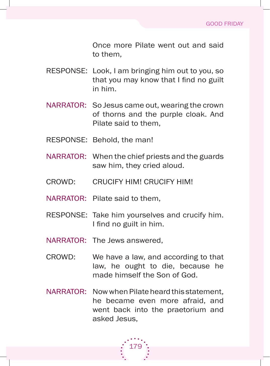Once more Pilate went out and said to them,

- RESPONSE: Look, I am bringing him out to you, so that you may know that I find no guilt in him.
- NARRATOR: So Jesus came out, wearing the crown of thorns and the purple cloak. And Pilate said to them,
- RESPONSE: Behold, the man!
- NARRATOR: When the chief priests and the guards saw him, they cried aloud.
- CroWd: CruCify him! CruCify him!
- NARRATOR: Pilate said to them,
- RESPONSE: Take him yourselves and crucify him. I find no guilt in him.
- NARRATOR: The Jews answered,
- CROWD: We have a law, and according to that law, he ought to die, because he made himself the Son of God.
- NARRATOR: Now when Pilate heard this statement. he became even more afraid, and went back into the praetorium and asked Jesus,

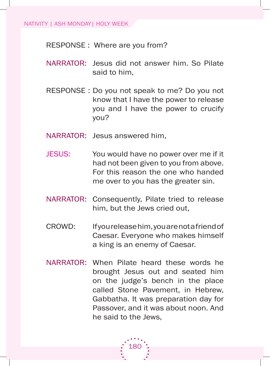RESPONSE : Where are you from?

- NARRATOR: Jesus did not answer him. So Pilate said to him,
- RESPONSE : Do you not speak to me? Do you not know that i have the power to release you and I have the power to crucify you?
- NARRATOR: Jesus answered him,
- JESUS: You would have no power over me if it had not been given to you from above. for this reason the one who handed me over to you has the greater sin.
- NARRATOR: Consequently, Pilate tried to release him, but the Jews cried out,
- CROWD: If you release him, you are not a friend of Caesar. Everyone who makes himself a king is an enemy of Caesar.
- NARRATOR: When Pilate heard these words he brought Jesus out and seated him on the judge's bench in the place called stone Pavement, in hebrew, Gabbatha. It was preparation day for Passover, and it was about noon. And he said to the Jews,

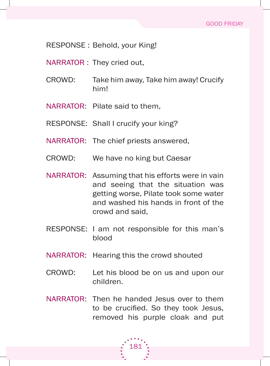RESPONSE: Behold, your King!

NARRATOR : They cried out,

- CROWD: Take him away, Take him away! Crucify him!
- NARRATOR: Pilate said to them,
- RESPONSE: Shall I crucify your king?
- NARRATOR: The chief priests answered,
- CROWD: We have no king but Caesar
- NARRATOR: Assuming that his efforts were in vain and seeing that the situation was getting worse, Pilate took some water and washed his hands in front of the crowd and said,
- RESPONSE: I am not responsible for this man's blood
- NARRATOR: Hearing this the crowd shouted
- CROWD: Let his blood be on us and upon our children.
- NARRATOR: Then he handed Jesus over to them to be crucified. So they took Jesus, removed his purple cloak and put

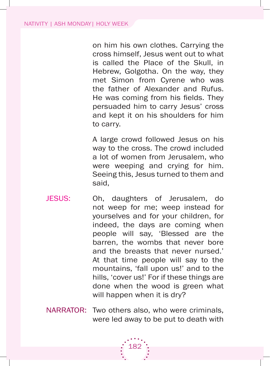on him his own clothes. Carrying the cross himself, Jesus went out to what is called the Place of the skull, in Hebrew, Golgotha. On the way, they met simon from Cyrene who was the father of Alexander and Rufus. He was coming from his fields. They persuaded him to carry Jesus' cross and kept it on his shoulders for him to carry.

a large crowd followed Jesus on his way to the cross. The crowd included a lot of women from Jerusalem, who were weeping and crying for him. seeing this, Jesus turned to them and said,

- JESUS: Oh, daughters of Jerusalem, do not weep for me; weep instead for yourselves and for your children, for indeed, the days are coming when people will say, 'Blessed are the barren, the wombs that never bore and the breasts that never nursed.' At that time people will say to the mountains, 'fall upon us!' and to the hills, 'cover us!' For if these things are done when the wood is green what will happen when it is dry?
- NARRATOR: Two others also, who were criminals, were led away to be put to death with

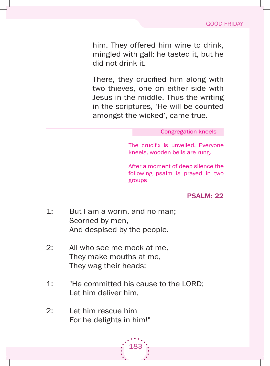him. They offered him wine to drink, mingled with gall; he tasted it, but he did not drink it.

There, they crucified him along with two thieves, one on either side with Jesus in the middle. Thus the writing in the scriptures, 'He will be counted amongst the wicked', came true.

#### Congregation kneels

The crucifix is unveiled. Everyone kneels, wooden bells are rung.

after a moment of deep silence the following psalm is prayed in two groups

psalM: 22

- 1: But I am a worm, and no man; scorned by men, And despised by the people.
- 2: All who see me mock at me, They make mouths at me, They wag their heads;
- 1: "He committed his cause to the LORD: Let him deliver him.

183

2: let him rescue him for he delights in him!"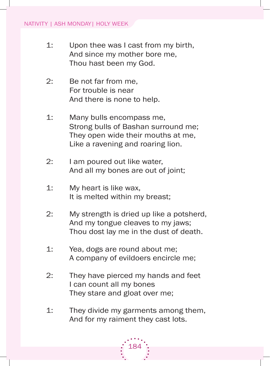- 1: Upon thee was I cast from my birth, And since my mother bore me, Thou hast been my God.
- 2: Be not far from me, for trouble is near And there is none to help.
- 1: Many bulls encompass me, Strong bulls of Bashan surround me; They open wide their mouths at me, Like a ravening and roaring lion.
- 2: I am poured out like water, And all my bones are out of joint;
- 1: my heart is like wax, It is melted within my breast;
- 2: my strength is dried up like a potsherd, And my tongue cleaves to my jaws; Thou dost lay me in the dust of death.
- 1: Yea, dogs are round about me; a company of evildoers encircle me;
- 2: They have pierced my hands and feet I can count all my bones They stare and gloat over me;
- 1: They divide my garments among them, And for my raiment they cast lots.

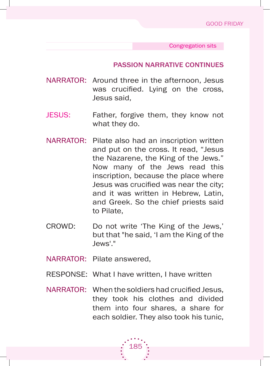Congregation sits

#### passion naRRatiVe continues

- NARRATOR: Around three in the afternoon, Jesus was crucified. Lying on the cross, Jesus said,
- JESUS: Father, forgive them, they know not what they do.
- NARRATOR: Pilate also had an inscription written and put on the cross. it read, "Jesus the Nazarene, the King of the Jews." Now many of the Jews read this inscription, because the place where Jesus was crucified was near the city; and it was written in Hebrew, Latin, and greek. so the chief priests said to Pilate,
- CROWD: Do not write 'The King of the Jews,' but that "he said, 'I am the King of the Jews'."
- NARRATOR: Pilate answered,
- RESPONSE: What I have written, I have written
- NARRATOR: When the soldiers had crucified Jesus, they took his clothes and divided them into four shares, a share for each soldier. They also took his tunic,

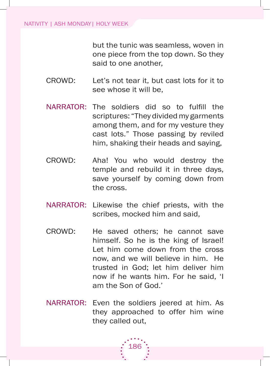but the tunic was seamless, woven in one piece from the top down. so they said to one another,

- CROWD: Let's not tear it, but cast lots for it to see whose it will be,
- NARRATOR: The soldiers did so to fulfill the scriptures: "They divided my garments among them, and for my vesture they cast lots." Those passing by reviled him, shaking their heads and saying,
- CROWD: Aha! You who would destroy the temple and rebuild it in three days, save yourself by coming down from the cross.
- NARRATOR: Likewise the chief priests, with the scribes, mocked him and said,
- CROWD: He saved others; he cannot save himself. So he is the king of Israel! Let him come down from the cross now, and we will believe in him. He trusted in god; let him deliver him now if he wants him. For he said. 'I am the Son of God.'
- NARRATOR: Even the soldiers jeered at him. As they approached to offer him wine they called out,

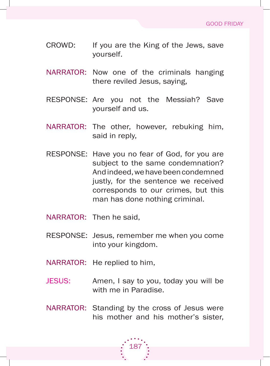- CROWD: If you are the King of the Jews, save yourself.
- NARRATOR: Now one of the criminals hanging there reviled Jesus, saying,
- RESPONSE: Are you not the Messiah? Save yourself and us.
- NARRATOR: The other, however, rebuking him, said in reply,
- RESPONSE: Have you no fear of God, for you are subject to the same condemnation? and indeed, we have been condemned justly, for the sentence we received corresponds to our crimes, but this man has done nothing criminal.
- NARRATOR: Then he said.
- RESPONSE: Jesus, remember me when you come into your kingdom.
- NARRATOR: He replied to him,
- JESUS: Amen, I say to you, today you will be with me in Paradise.
- NARRATOR: Standing by the cross of Jesus were his mother and his mother's sister,

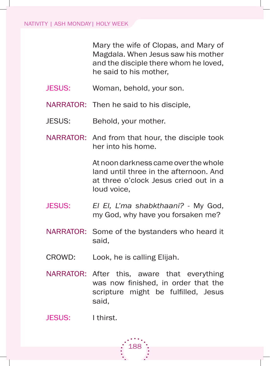Mary the wife of Clopas, and Mary of magdala. When Jesus saw his mother and the disciple there whom he loved, he said to his mother,

- JESUS: Woman, behold, your son.
- NARRATOR: Then he said to his disciple,
- JESUS: Behold, your mother.
- NARRATOR: And from that hour, the disciple took her into his home.

at noon darkness came over the whole land until three in the afternoon. And at three o'clock Jesus cried out in a loud voice,

- Jesus: *El El, L'ma shabkthaani?* my god, my God, why have you forsaken me?
- NARRATOR: Some of the bystanders who heard it said,
- CROWD: Look, he is calling Elijah.
- NARRATOR: After this, aware that everything was now finished, in order that the scripture might be fulfilled, Jesus said,

JESUS: I thirst.

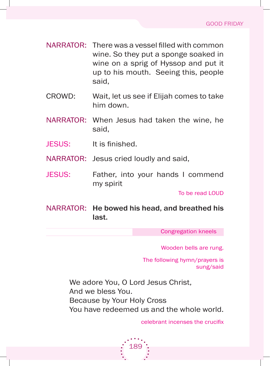- NARRATOR: There was a vessel filled with common wine. So they put a sponge soaked in wine on a sprig of Hyssop and put it up to his mouth. seeing this, people said,
- CROWD: Wait, let us see if Elijah comes to take him down.
- NARRATOR: When Jesus had taken the wine, he said,
- JESUS: It is finished.
- NARRATOR: Jesus cried loudly and said,
- JESUS: Father, into your hands I commend my spirit

To be read LOUD

NARRATOR: He bowed his head, and breathed his last.

Congregation kneels

Wooden bells are rung.

The following hymn/prayers is sung/said

We adore You, O Lord Jesus Christ, and we bless you. because by your holy Cross you have redeemed us and the whole world.

189

celebrant incenses the crucifix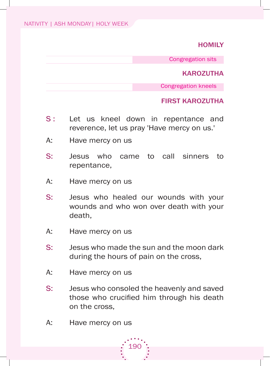### **HOMILY**

Congregation sits

#### **KAROZUTHA**

Congregation kneels

### FiRst kaRoZutha

- S: Let us kneel down in repentance and reverence, let us pray 'Have mercy on us.'
- A: Have mercy on us
- s: Jesus who came to call sinners to repentance,
- A: Have mercy on us
- s: Jesus who healed our wounds with your wounds and who won over death with your death,
- A: Have mercy on us
- s: Jesus who made the sun and the moon dark during the hours of pain on the cross,
- A: Have mercy on us
- s: Jesus who consoled the heavenly and saved those who crucified him through his death on the cross,
- A: Have mercy on us

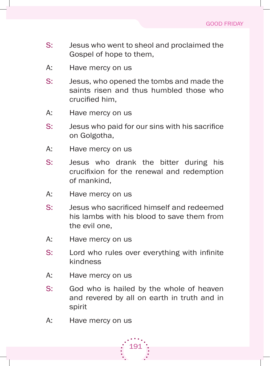- s: Jesus who went to sheol and proclaimed the Gospel of hope to them,
- A: Have mercy on us
- s: Jesus, who opened the tombs and made the saints risen and thus humbled those who crucified him,
- A: Have mercy on us
- s: Jesus who paid for our sins with his sacrifice on Golgotha,
- A: Have mercy on us
- s: Jesus who drank the bitter during his crucifixion for the renewal and redemption of mankind,
- A: Have mercy on us
- s: Jesus who sacrificed himself and redeemed his lambs with his blood to save them from the evil one,
- A: Have mercy on us
- s: Lord who rules over everything with infinite kindness
- A: Have mercy on us
- S: God who is hailed by the whole of heaven and revered by all on earth in truth and in spirit
- A: Have mercy on us

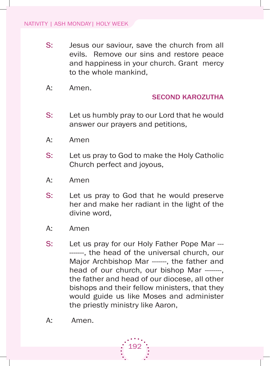- s: Jesus our saviour, save the church from all evils. Remove our sins and restore peace and happiness in your church. Grant mercy to the whole mankind,
- A: Amen.

## seconD kaRoZutha

- S: Let us humbly pray to our Lord that he would answer our prayers and petitions,
- A: Amen
- S: Let us pray to God to make the Holy Catholic Church perfect and joyous,
- A: Amen
- S: Let us pray to God that he would preserve her and make her radiant in the light of the divine word,
- A: Amen
- S: Let us pray for our Holy Father Pope Mar -------, the head of the universal church, our Major Archbishop Mar ----, the father and head of our church, our bishop Mar -----the father and head of our diocese, all other bishops and their fellow ministers, that they would guide us like Moses and administer the priestly ministry like Aaron,

192

A: Amen.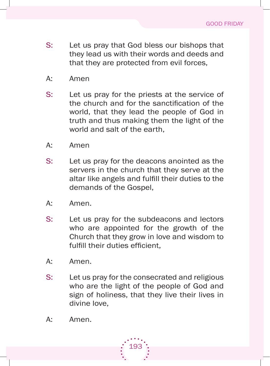- S: Let us pray that God bless our bishops that they lead us with their words and deeds and that they are protected from evil forces,
- a: amen
- S: Let us pray for the priests at the service of the church and for the sanctification of the world, that they lead the people of God in truth and thus making them the light of the world and salt of the earth,
- a: amen
- S: Let us pray for the deacons anointed as the servers in the church that they serve at the altar like angels and fulfill their duties to the demands of the Gospel,
- a: amen.
- S: Let us pray for the subdeacons and lectors who are appointed for the growth of the Church that they grow in love and wisdom to fulfill their duties efficient.
- A: Amen.
- S: Let us pray for the consecrated and religious who are the light of the people of God and sign of holiness, that they live their lives in divine love,
- a: amen.

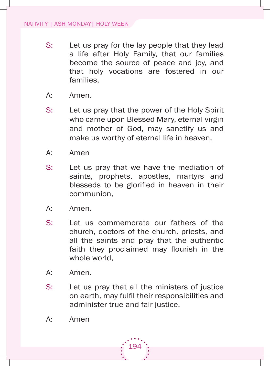- S: Let us pray for the lay people that they lead a life after holy family, that our families become the source of peace and joy, and that holy vocations are fostered in our families,
- A: Amen.
- S: Let us pray that the power of the Holy Spirit who came upon Blessed Mary, eternal virgin and mother of god, may sanctify us and make us worthy of eternal life in heaven,
- a: amen
- S: Let us pray that we have the mediation of saints, prophets, apostles, martyrs and blesseds to be glorified in heaven in their communion,
- A: Amen.
- s: let us commemorate our fathers of the church, doctors of the church, priests, and all the saints and pray that the authentic faith they proclaimed may flourish in the whole world.
- A: Amen.
- s: Let us pray that all the ministers of justice on earth, may fulfil their responsibilities and administer true and fair justice,

194

a: amen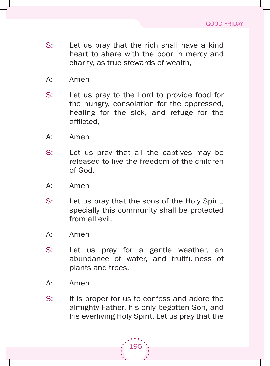- S: Let us pray that the rich shall have a kind heart to share with the poor in mercy and charity, as true stewards of wealth,
- a: amen
- s: let us pray to the lord to provide food for the hungry, consolation for the oppressed, healing for the sick, and refuge for the afflicted,
- A: Amen
- s: let us pray that all the captives may be released to live the freedom of the children of God.
- a: amen
- S: Let us pray that the sons of the Holy Spirit, specially this community shall be protected from all evil,
- A: Amen
- s: let us pray for a gentle weather, an abundance of water, and fruitfulness of plants and trees,
- a: amen
- S: It is proper for us to confess and adore the almighty father, his only begotten son, and his everliving Holy Spirit. Let us pray that the

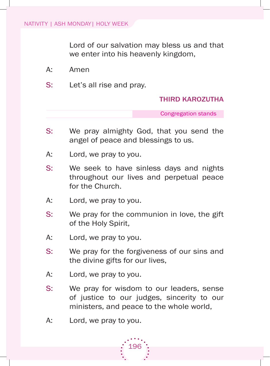Lord of our salvation may bless us and that we enter into his heavenly kingdom,

- a: amen
- S: Let's all rise and pray.

#### thiRD kaRoZutha

Congregation stands

- S: We pray almighty God, that you send the angel of peace and blessings to us.
- A: Lord, we pray to you.
- s: We seek to have sinless days and nights throughout our lives and perpetual peace for the Church.
- A: Lord, we pray to you.
- s: We pray for the communion in love, the gift of the Holy Spirit,
- A: Lord, we pray to you.
- s: We pray for the forgiveness of our sins and the divine gifts for our lives,
- A: Lord, we pray to you.
- s: We pray for wisdom to our leaders, sense of justice to our judges, sincerity to our ministers, and peace to the whole world,
- A: Lord, we pray to you.

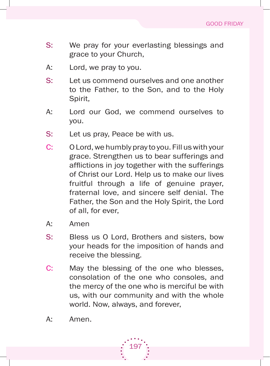- s: We pray for your everlasting blessings and grace to your Church,
- A: Lord, we pray to you.
- s: let us commend ourselves and one another to the father, to the son, and to the holy spirit,
- A: Lord our God, we commend ourselves to you.
- S: Let us pray, Peace be with us.
- C: O Lord, we humbly pray to you. Fill us with your grace. strengthen us to bear sufferings and afflictions in joy together with the sufferings of Christ our lord. help us to make our lives fruitful through a life of genuine prayer, fraternal love, and sincere self denial. The Father, the Son and the Holy Spirit, the Lord of all, for ever,
- a: amen
- S: Bless us O Lord, Brothers and sisters, bow your heads for the imposition of hands and receive the blessing.
- C: May the blessing of the one who blesses, consolation of the one who consoles, and the mercy of the one who is merciful be with us, with our community and with the whole world. Now, always, and forever,

197

a: amen.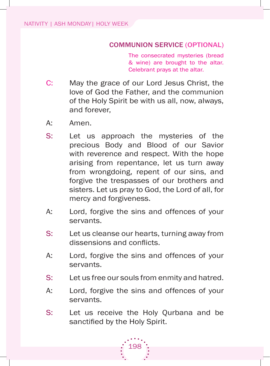## coMMunion seRVice (optional)

The consecrated mysteries (bread & wine) are brought to the altar. Celebrant prays at the altar.

- C: May the grace of our Lord Jesus Christ, the love of god the father, and the communion of the holy spirit be with us all, now, always, and forever,
- a: amen.
- s: let us approach the mysteries of the precious Body and Blood of our Savior with reverence and respect. With the hope arising from repentance, let us turn away from wrongdoing, repent of our sins, and forgive the trespasses of our brothers and sisters. Let us pray to God, the Lord of all, for mercy and forgiveness.
- A: Lord, forgive the sins and offences of your servants.
- S: Let us cleanse our hearts, turning away from dissensions and conflicts.
- A: Lord, forgive the sins and offences of your servants.
- S: Let us free our souls from enmity and hatred.
- A: Lord, forgive the sins and offences of your servants.
- S: Let us receive the Holy Qurbana and be sanctified by the Holy Spirit.

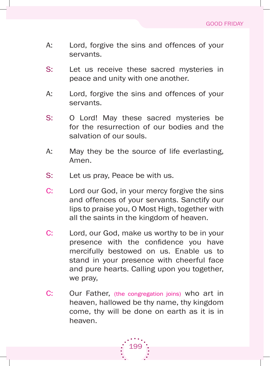- A: Lord, forgive the sins and offences of your servants.
- S: Let us receive these sacred mysteries in peace and unity with one another.
- A: Lord, forgive the sins and offences of your servants.
- s: o lord! may these sacred mysteries be for the resurrection of our bodies and the salvation of our souls.
- A: May they be the source of life everlasting, amen.
- S: Let us pray, Peace be with us.
- C: Lord our God, in your mercy forgive the sins and offences of your servants. Sanctify our lips to praise you, o most high, together with all the saints in the kingdom of heaven.
- C: Lord, our God, make us worthy to be in your presence with the confidence you have mercifully bestowed on us. Enable us to stand in your presence with cheerful face and pure hearts. Calling upon you together, we pray,
- C: Our Father, (the congregation joins) who art in heaven, hallowed be thy name, thy kingdom come, thy will be done on earth as it is in heaven.

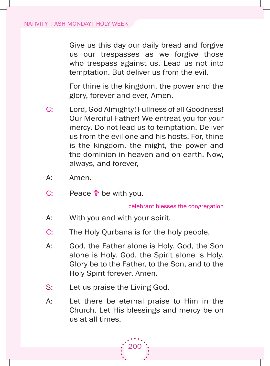Give us this day our daily bread and forgive us our trespasses as we forgive those who trespass against us. Lead us not into temptation. But deliver us from the evil.

 for thine is the kingdom, the power and the glory, forever and ever, amen.

- C: Lord, God Almighty! Fullness of all Goodness! Our Merciful Father! We entreat you for your mercy. Do not lead us to temptation. Deliver us from the evil one and his hosts. for, thine is the kingdom, the might, the power and the dominion in heaven and on earth. Now, always, and forever,
- a: amen.
- C: Peace  $\mathbf{\hat{v}}$  be with you.

celebrant blesses the congregation

- a: With you and with your spirit.
- C: The Holy Qurbana is for the holy people.
- A: God, the Father alone is Holy, God, the Son alone is Holy. God, the Spirit alone is Holy. glory be to the father, to the son, and to the holy spirit forever. amen.
- S: Let us praise the Living God.
- A: Let there be eternal praise to Him in the Church. let his blessings and mercy be on us at all times.

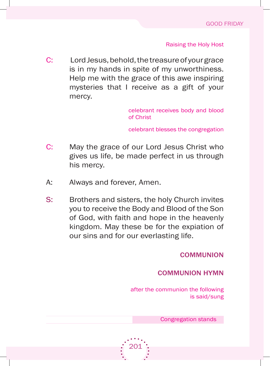**Raising the Holy Host** 

C: Lord Jesus, behold, the treasure of your grace is in my hands in spite of my unworthiness. help me with the grace of this awe inspiring mysteries that I receive as a gift of your mercy.

> celebrant receives body and blood of Christ

> celebrant blesses the congregation

- C: May the grace of our Lord Jesus Christ who gives us life, be made perfect in us through his mercy.
- A: Always and forever, Amen.
- S: Brothers and sisters, the holy Church invites you to receive the Body and Blood of the Son of god, with faith and hope in the heavenly kingdom. May these be for the expiation of our sins and for our everlasting life.

**COMMUNION** 

### coMMunion hYMn

after the communion the following is said/sung

Congregation stands

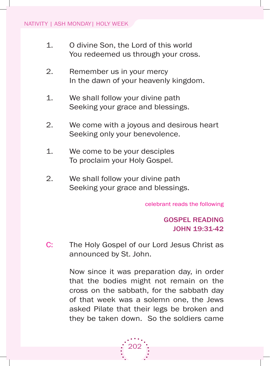- 1. O divine Son, the Lord of this world You redeemed us through your cross.
- 2. Remember us in your mercy In the dawn of your heavenly kingdom.
- 1. We shall follow your divine path Seeking your grace and blessings.
- 2. We come with a joyous and desirous heart Seeking only your benevolence.
- 1. We come to be your desciples To proclaim your Holy Gospel.
- 2. We shall follow your divine path Seeking your grace and blessings.

celebrant reads the following

# Gospel ReaDinG JOHn 19:31-42

C: The Holy Gospel of our Lord Jesus Christ as announced by st. John.

> Now since it was preparation day, in order that the bodies might not remain on the cross on the sabbath, for the sabbath day of that week was a solemn one, the Jews asked Pilate that their legs be broken and they be taken down. so the soldiers came

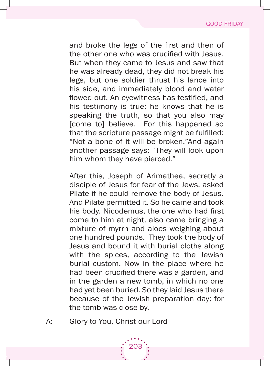and broke the legs of the first and then of the other one who was crucified with Jesus. but when they came to Jesus and saw that he was already dead, they did not break his legs, but one soldier thrust his lance into his side, and immediately blood and water flowed out. An eyewitness has testified, and his testimony is true; he knows that he is speaking the truth, so that you also may [come to] believe. for this happened so that the scripture passage might be fulfilled: "Not a bone of it will be broken."And again another passage says: "They will look upon him whom they have pierced."

After this, Joseph of Arimathea, secretly a disciple of Jesus for fear of the Jews, asked Pilate if he could remove the body of Jesus. And Pilate permitted it. So he came and took his body. Nicodemus, the one who had first come to him at night, also came bringing a mixture of myrrh and aloes weighing about one hundred pounds. They took the body of Jesus and bound it with burial cloths along with the spices, according to the Jewish burial custom. Now in the place where he had been crucified there was a garden, and in the garden a new tomb, in which no one had yet been buried. so they laid Jesus there because of the Jewish preparation day; for the tomb was close by.

A: Glory to You, Christ our Lord

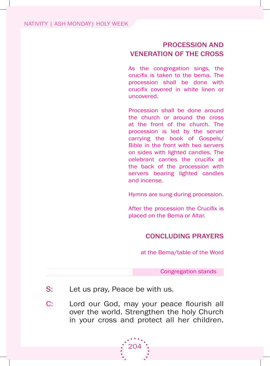## pRocession anD VeneRation oF the cRoss

As the congregation sings, the crucifix is taken to the bema. The procession shall be done with crucifix covered in white linen or uncovered.

Procession shall be done around the church or around the cross at the front of the church. The procession is led by the server carrying the book of gospels/ Bible in the front with two servers on sides with lighted candles. The celebrant carries the crucifix at the back of the procession with servers bearing lighted candles and incense.

hymns are sung during procession.

After the procession the Crucifix is placed on the Bema or Altar.

## concluDinG pRaYeRs

at the bema/table of the Word

Congregation stands

- S: Let us pray, Peace be with us.
- C: Lord our God, may your peace flourish all over the world. strengthen the holy Church in your cross and protect all her children.

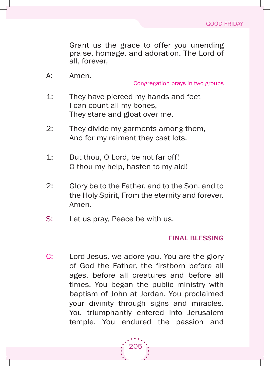Grant us the grace to offer you unending praise, homage, and adoration. The Lord of all, forever,

A: Amen.

Congregation prays in two groups

- 1: They have pierced my hands and feet I can count all my bones. They stare and gloat over me.
- 2: They divide my garments among them, And for my raiment they cast lots.
- 1: But thou, O Lord, be not far off! o thou my help, hasten to my aid!
- 2: Glory be to the Father, and to the Son, and to the Holy Spirit, From the eternity and forever. amen.
- S: Let us pray, Peace be with us.

## Final BlessinG

C: Lord Jesus, we adore you. You are the glory of God the Father, the firstborn before all ages, before all creatures and before all times. you began the public ministry with baptism of John at Jordan. You proclaimed your divinity through signs and miracles. You triumphantly entered into Jerusalem temple. you endured the passion and